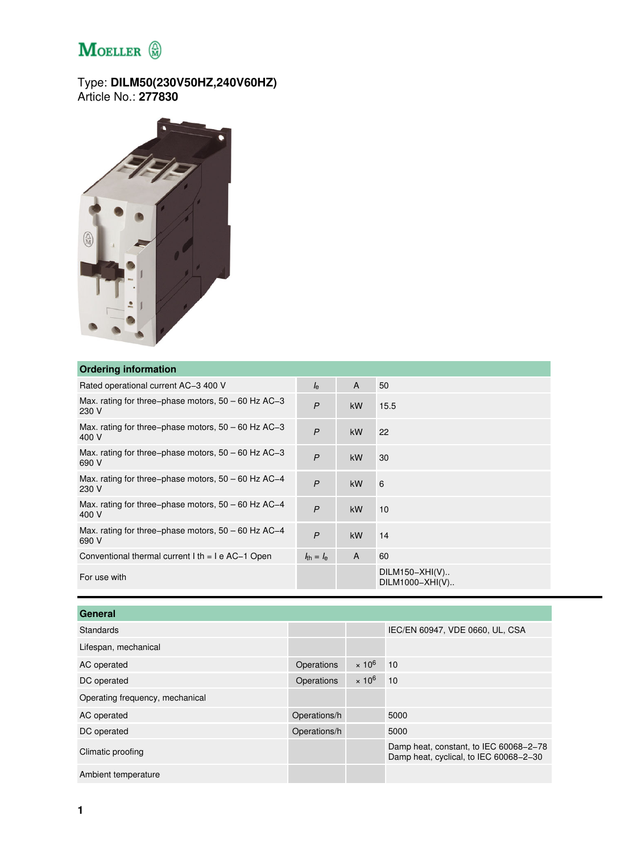## $M$ OELLER  $\circledR$

## Type: **DILM50(230V50HZ,240V60HZ)** Article No.: **277830**



## **Ordering information**

| <b>UNCHING INTOINT CONTROL</b>                                 |                                |           |                                     |
|----------------------------------------------------------------|--------------------------------|-----------|-------------------------------------|
| Rated operational current AC-3 400 V                           | $I_{\rm e}$                    | A         | 50                                  |
| Max. rating for three-phase motors, $50 - 60$ Hz AC-3<br>230 V | $\mathsf{P}$                   | <b>kW</b> | 15.5                                |
| Max. rating for three–phase motors, $50 - 60$ Hz AC–3<br>400 V | $\overline{P}$                 | kW        | 22                                  |
| Max. rating for three–phase motors, $50 - 60$ Hz AC–3<br>690 V | $\mathsf{P}$                   | <b>kW</b> | 30                                  |
| Max. rating for three-phase motors, $50 - 60$ Hz AC-4<br>230 V | $\overline{P}$                 | kW        | 6                                   |
| Max. rating for three–phase motors, $50 - 60$ Hz AC–4<br>400 V | $\overline{P}$                 | kW        | 10                                  |
| Max. rating for three–phase motors, $50 - 60$ Hz AC–4<br>690 V | $\mathsf{P}$                   | kW        | 14                                  |
| Conventional thermal current $l$ th = $l$ e AC-1 Open          | $l_{\text{th}} = l_{\text{e}}$ | A         | 60                                  |
| For use with                                                   |                                |           | $DILM150-XHI(V)$<br>DILM1000-XHI(V) |

| General                         |              |               |                                                                                  |
|---------------------------------|--------------|---------------|----------------------------------------------------------------------------------|
| Standards                       |              |               | IEC/EN 60947, VDE 0660, UL, CSA                                                  |
| Lifespan, mechanical            |              |               |                                                                                  |
| AC operated                     | Operations   | $\times 10^6$ | 10                                                                               |
| DC operated                     | Operations   | $\times 10^6$ | 10                                                                               |
| Operating frequency, mechanical |              |               |                                                                                  |
| AC operated                     | Operations/h |               | 5000                                                                             |
| DC operated                     | Operations/h |               | 5000                                                                             |
| Climatic proofing               |              |               | Damp heat, constant, to IEC 60068-2-78<br>Damp heat, cyclical, to IEC 60068-2-30 |
| Ambient temperature             |              |               |                                                                                  |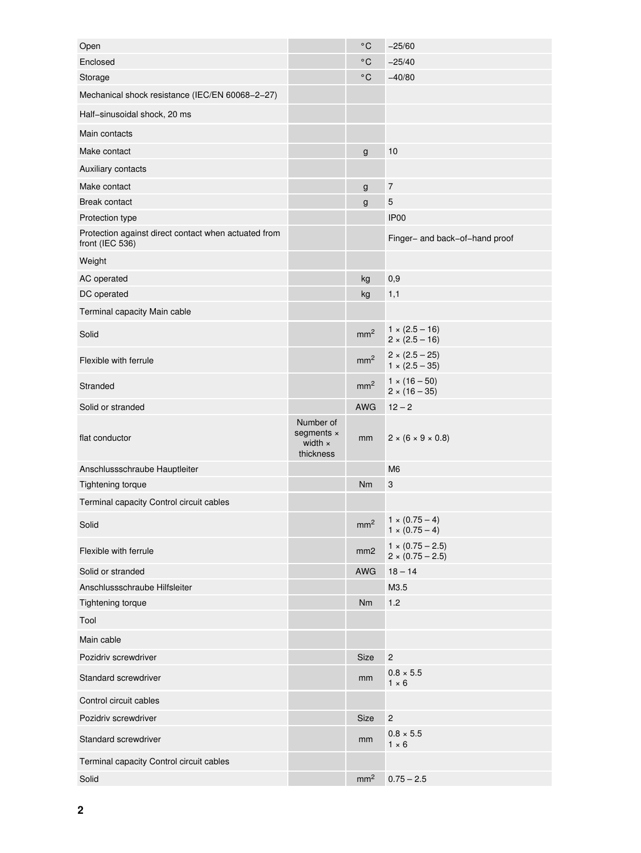| Open                                                                    |                                                 | $^{\circ}$ C    | $-25/60$                                           |
|-------------------------------------------------------------------------|-------------------------------------------------|-----------------|----------------------------------------------------|
| Enclosed                                                                |                                                 | $^{\circ}$ C    | $-25/40$                                           |
| Storage                                                                 |                                                 | $^{\circ}$ C    | $-40/80$                                           |
| Mechanical shock resistance (IEC/EN 60068-2-27)                         |                                                 |                 |                                                    |
| Half-sinusoidal shock, 20 ms                                            |                                                 |                 |                                                    |
| Main contacts                                                           |                                                 |                 |                                                    |
| Make contact                                                            |                                                 | $\mathsf g$     | 10                                                 |
| Auxiliary contacts                                                      |                                                 |                 |                                                    |
| Make contact                                                            |                                                 | g               | $\overline{\mathcal{I}}$                           |
| <b>Break contact</b>                                                    |                                                 | g               | $\mathbf 5$                                        |
| Protection type                                                         |                                                 |                 | IP <sub>00</sub>                                   |
| Protection against direct contact when actuated from<br>front (IEC 536) |                                                 |                 | Finger- and back-of-hand proof                     |
| Weight                                                                  |                                                 |                 |                                                    |
| AC operated                                                             |                                                 | kg              | 0,9                                                |
| DC operated                                                             |                                                 | kg              | 1,1                                                |
| Terminal capacity Main cable                                            |                                                 |                 |                                                    |
| Solid                                                                   |                                                 | mm <sup>2</sup> | $1 \times (2.5 - 16)$<br>$2 \times (2.5 - 16)$     |
| Flexible with ferrule                                                   |                                                 | mm <sup>2</sup> | $2 \times (2.5 - 25)$<br>$1 \times (2.5 - 35)$     |
| Stranded                                                                |                                                 | mm <sup>2</sup> | $1 \times (16 - 50)$<br>$2 \times (16 - 35)$       |
| Solid or stranded                                                       |                                                 | <b>AWG</b>      | $12 - 2$                                           |
|                                                                         |                                                 |                 |                                                    |
| flat conductor                                                          | Number of<br>segments ×<br>width x<br>thickness | mm              | $2 \times (6 \times 9 \times 0.8)$                 |
| Anschlussschraube Hauptleiter                                           |                                                 |                 | M <sub>6</sub>                                     |
| Tightening torque                                                       |                                                 | Nm              | $\ensuremath{\mathsf{3}}$                          |
| Terminal capacity Control circuit cables                                |                                                 |                 |                                                    |
| Solid                                                                   |                                                 |                 | $mm^2$ 1 × (0.75 – 4)<br>$1 \times (0.75 - 4)$     |
| Flexible with ferrule                                                   |                                                 | mm <sub>2</sub> | $1 \times (0.75 - 2.5)$<br>$2 \times (0.75 - 2.5)$ |
| Solid or stranded                                                       |                                                 | <b>AWG</b>      | $18 - 14$                                          |
| Anschlussschraube Hilfsleiter                                           |                                                 |                 | M3.5                                               |
| Tightening torque                                                       |                                                 | Nm              | 1.2                                                |
| Tool                                                                    |                                                 |                 |                                                    |
| Main cable                                                              |                                                 |                 |                                                    |
| Pozidriv screwdriver                                                    |                                                 | Size            | $\mathbf 2$                                        |
| Standard screwdriver                                                    |                                                 | mm              | $0.8 \times 5.5$<br>$1 \times 6$                   |
| Control circuit cables                                                  |                                                 |                 |                                                    |
| Pozidriv screwdriver                                                    |                                                 | Size            | $\mathbf 2$                                        |
| Standard screwdriver                                                    |                                                 | mm              | $0.8 \times 5.5$<br>$1 \times 6$                   |
| Terminal capacity Control circuit cables                                |                                                 |                 |                                                    |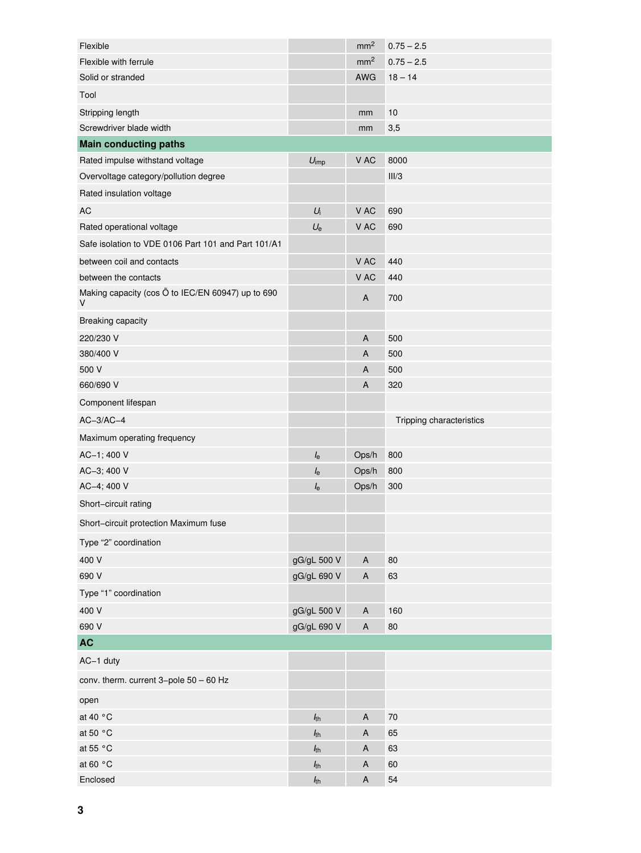| Flexible                                               |                                 | mm <sup>2</sup>           | $0.75 - 2.5$             |
|--------------------------------------------------------|---------------------------------|---------------------------|--------------------------|
| Flexible with ferrule                                  |                                 | mm <sup>2</sup>           | $0.75 - 2.5$             |
| Solid or stranded                                      |                                 | AWG                       | $18 - 14$                |
| Tool                                                   |                                 |                           |                          |
| Stripping length                                       |                                 | mm                        | 10                       |
| Screwdriver blade width                                |                                 | mm                        | 3,5                      |
| <b>Main conducting paths</b>                           |                                 |                           |                          |
| Rated impulse withstand voltage                        | $U_{\text{imp}}$                | V AC                      | 8000                     |
| Overvoltage category/pollution degree                  |                                 |                           | III/3                    |
| Rated insulation voltage                               |                                 |                           |                          |
| <b>AC</b>                                              | $U_i$                           | V AC                      | 690                      |
| Rated operational voltage                              | $U_{e}$                         | V AC                      | 690                      |
| Safe isolation to VDE 0106 Part 101 and Part 101/A1    |                                 |                           |                          |
| between coil and contacts                              |                                 | V AC                      | 440                      |
| between the contacts                                   |                                 | V AC                      | 440                      |
| Making capacity (cos O to IEC/EN 60947) up to 690<br>V |                                 | $\mathsf A$               | 700                      |
| Breaking capacity                                      |                                 |                           |                          |
| 220/230 V                                              |                                 | $\mathsf A$               | 500                      |
| 380/400 V                                              |                                 | A                         | 500                      |
| 500 V                                                  |                                 | A                         | 500                      |
| 660/690 V                                              |                                 | A                         | 320                      |
| Component lifespan                                     |                                 |                           |                          |
|                                                        |                                 |                           |                          |
| $AC-3/AC-4$                                            |                                 |                           | Tripping characteristics |
| Maximum operating frequency                            |                                 |                           |                          |
| AC-1; 400 V                                            | $I_{\rm e}$                     | Ops/h                     | 800                      |
| AC-3; 400 V                                            | $I_{\rm e}$                     | Ops/h                     | 800                      |
| AC-4; 400 V                                            | $l_{\rm e}$                     | Ops/h                     | 300                      |
| Short-circuit rating                                   |                                 |                           |                          |
| Short-circuit protection Maximum fuse                  |                                 |                           |                          |
| Type "2" coordination                                  |                                 |                           |                          |
| 400 V                                                  | gG/gL 500 V                     | $\sf A$                   | 80                       |
| 690 V                                                  | gG/gL 690 V                     | $\sf A$                   | 63                       |
| Type "1" coordination                                  |                                 |                           |                          |
| 400 V                                                  | gG/gL 500 V                     | A                         | 160                      |
| 690 V                                                  | gG/gL 690 V                     | $\boldsymbol{\mathsf{A}}$ | 80                       |
| <b>AC</b>                                              |                                 |                           |                          |
| AC-1 duty                                              |                                 |                           |                          |
| conv. therm. current 3-pole 50 - 60 Hz                 |                                 |                           |                          |
| open                                                   |                                 |                           |                          |
| at 40 °C                                               | $h_{th}$                        | $\boldsymbol{\mathsf{A}}$ | $70\,$                   |
| at 50 °C                                               | $h_{\rm th}$                    | A                         | 65                       |
| at 55 °C                                               | $h_{th}$                        | $\mathsf A$               | 63                       |
| at 60 °C<br>Enclosed                                   | h <sub>th</sub><br>$h_{\rm th}$ | A<br>$\mathsf A$          | 60<br>54                 |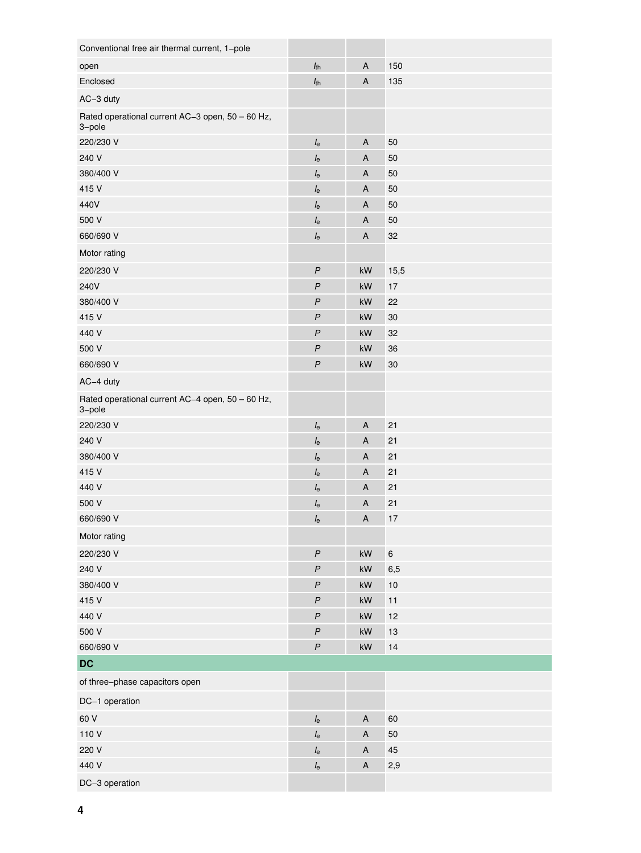| Conventional free air thermal current, 1-pole              |                  |                           |        |
|------------------------------------------------------------|------------------|---------------------------|--------|
| open                                                       | $h_{th}$         | A                         | 150    |
| Enclosed                                                   | $h_{th}$         | A                         | 135    |
| AC-3 duty                                                  |                  |                           |        |
| Rated operational current AC-3 open, 50 - 60 Hz,<br>3-pole |                  |                           |        |
| 220/230 V                                                  | $I_{\rm e}$      | A                         | 50     |
| 240 V                                                      | $I_{\rm e}$      | $\overline{A}$            | 50     |
| 380/400 V                                                  | $I_{\rm e}$      | A                         | 50     |
| 415 V                                                      | $I_{\rm e}$      | $\overline{A}$            | 50     |
| 440V                                                       | $I_{\rm e}$      | A                         | 50     |
| 500 V                                                      | $I_{\rm e}$      | A                         | 50     |
| 660/690 V                                                  | $I_{\rm e}$      | A                         | 32     |
| Motor rating                                               |                  |                           |        |
| 220/230 V                                                  | $\boldsymbol{P}$ | kW                        | 15,5   |
| 240V                                                       | $\boldsymbol{P}$ | kW                        | 17     |
| 380/400 V                                                  | $\boldsymbol{P}$ | kW                        | 22     |
| 415 V                                                      | $\boldsymbol{P}$ | kW                        | $30\,$ |
| 440 V                                                      | $\overline{P}$   | kW                        | 32     |
| 500 V                                                      | $\boldsymbol{P}$ | kW                        | 36     |
| 660/690 V                                                  | $\boldsymbol{P}$ | kW                        | $30\,$ |
| AC-4 duty                                                  |                  |                           |        |
| Rated operational current AC-4 open, 50 - 60 Hz,<br>3-pole |                  |                           |        |
| 220/230 V                                                  | $I_{\rm e}$      | $\overline{A}$            | 21     |
| 240 V                                                      | $I_{\rm e}$      | A                         | 21     |
| 380/400 V                                                  | $I_{\rm e}$      | A                         | 21     |
| 415 V                                                      | $I_{\rm e}$      | A                         | 21     |
| 440 V                                                      | $I_{\rm e}$      | A                         | 21     |
| 500 V                                                      | $I_{\rm e}$      | A                         | 21     |
| 660/690 V                                                  | $I_{\rm e}$      | $\overline{A}$            | 17     |
| Motor rating                                               |                  |                           |        |
| 220/230 V                                                  | $\boldsymbol{P}$ | $\mathsf{k}\mathsf{W}$    | $\, 6$ |
| 240 V                                                      | $\boldsymbol{P}$ | $\mathsf{k}\mathsf{W}$    | 6,5    |
| 380/400 V                                                  | $\boldsymbol{P}$ | kW                        | $10$   |
| 415 V                                                      | $\boldsymbol{P}$ | kW                        | 11     |
| 440 V                                                      | $\boldsymbol{P}$ | $\mathsf{k}\mathsf{W}$    | 12     |
| 500 V                                                      | $\boldsymbol{P}$ | kW                        | 13     |
| 660/690 V                                                  | $\boldsymbol{P}$ | $\mathsf{k}\mathsf{W}$    | 14     |
| <b>DC</b>                                                  |                  |                           |        |
| of three-phase capacitors open                             |                  |                           |        |
| DC-1 operation                                             |                  |                           |        |
| 60 V                                                       | $I_{\rm e}$      | $\boldsymbol{\mathsf{A}}$ | 60     |
| 110 V                                                      | $I_{\rm e}$      | $\boldsymbol{\mathsf{A}}$ | 50     |
| 220 V                                                      | $I_{\rm e}$      | A                         | 45     |
| 440 V                                                      | $I_{\rm e}$      | $\sf A$                   | 2,9    |
| DC-3 operation                                             |                  |                           |        |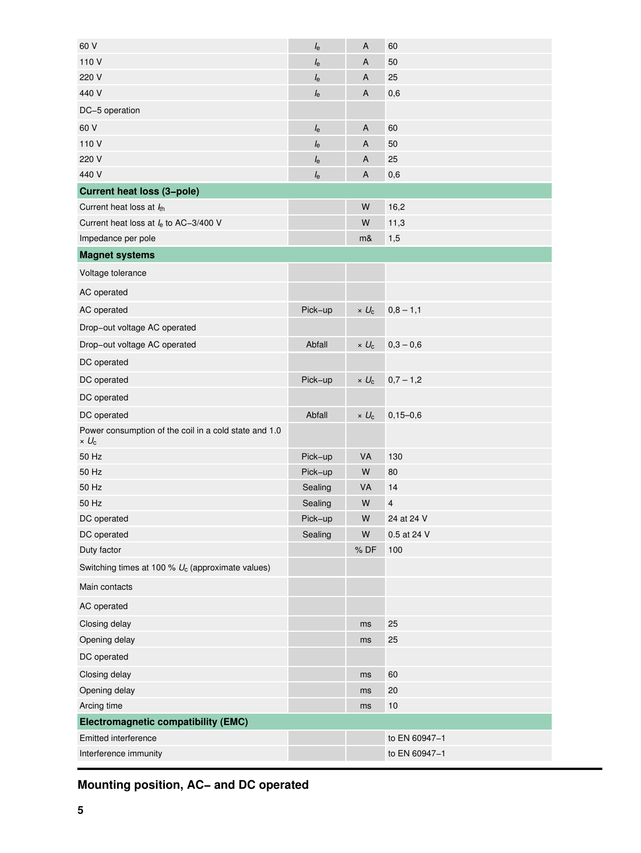| 60 V                                                                  | $I_{\rm e}$ | A            | 60            |
|-----------------------------------------------------------------------|-------------|--------------|---------------|
| 110 V                                                                 | $l_{\rm e}$ | А            | 50            |
| 220 V                                                                 | $I_{\rm e}$ | A            | 25            |
| 440 V                                                                 | $I_{\rm e}$ | A            | 0,6           |
| DC-5 operation                                                        |             |              |               |
| 60 V                                                                  | $I_{\rm e}$ | A            | 60            |
| 110 V                                                                 | $I_{\rm e}$ | A            | 50            |
| 220 V                                                                 | $I_{e}$     | A            | 25            |
| 440 V                                                                 | $I_{\rm e}$ | A            | 0,6           |
| <b>Current heat loss (3-pole)</b>                                     |             |              |               |
| Current heat loss at $l_{th}$                                         |             | W            | 16,2          |
| Current heat loss at $I_e$ to AC-3/400 V                              |             | W            | 11,3          |
| Impedance per pole                                                    |             | m&           | 1,5           |
| <b>Magnet systems</b>                                                 |             |              |               |
| Voltage tolerance                                                     |             |              |               |
| AC operated                                                           |             |              |               |
| AC operated                                                           | Pick-up     | $\times U_c$ | $0,8 - 1,1$   |
| Drop-out voltage AC operated                                          |             |              |               |
| Drop-out voltage AC operated                                          | Abfall      | $\times U_c$ | $0,3 - 0,6$   |
| DC operated                                                           |             |              |               |
| DC operated                                                           | Pick-up     | $\times U_c$ | $0,7 - 1,2$   |
| DC operated                                                           |             |              |               |
| DC operated                                                           | Abfall      | $\times U_c$ | $0,15 - 0,6$  |
| Power consumption of the coil in a cold state and 1.0<br>$\times U_c$ |             |              |               |
| 50 Hz                                                                 | Pick-up     | VA           | 130           |
| 50 Hz                                                                 | Pick-up     | W            | 80            |
| 50 Hz                                                                 | Sealing     | VA           | 14            |
| 50 Hz                                                                 | Sealing     | W            | 4             |
| DC operated                                                           | Pick-up     | W            | 24 at 24 V    |
| DC operated                                                           | Sealing     | W            | 0.5 at 24 V   |
| Duty factor                                                           |             | %DF          | 100           |
| Switching times at 100 % $U_c$ (approximate values)                   |             |              |               |
| Main contacts                                                         |             |              |               |
| AC operated                                                           |             |              |               |
| Closing delay                                                         |             | ms           | 25            |
| Opening delay                                                         |             | ms           | 25            |
| DC operated                                                           |             |              |               |
| Closing delay                                                         |             | ms           | 60            |
| Opening delay                                                         |             | ms           | 20            |
| Arcing time                                                           |             | ms           | 10            |
| <b>Electromagnetic compatibility (EMC)</b>                            |             |              |               |
| Emitted interference                                                  |             |              | to EN 60947-1 |
| Interference immunity                                                 |             |              | to EN 60947-1 |

## **Mounting position, AC− and DC operated**